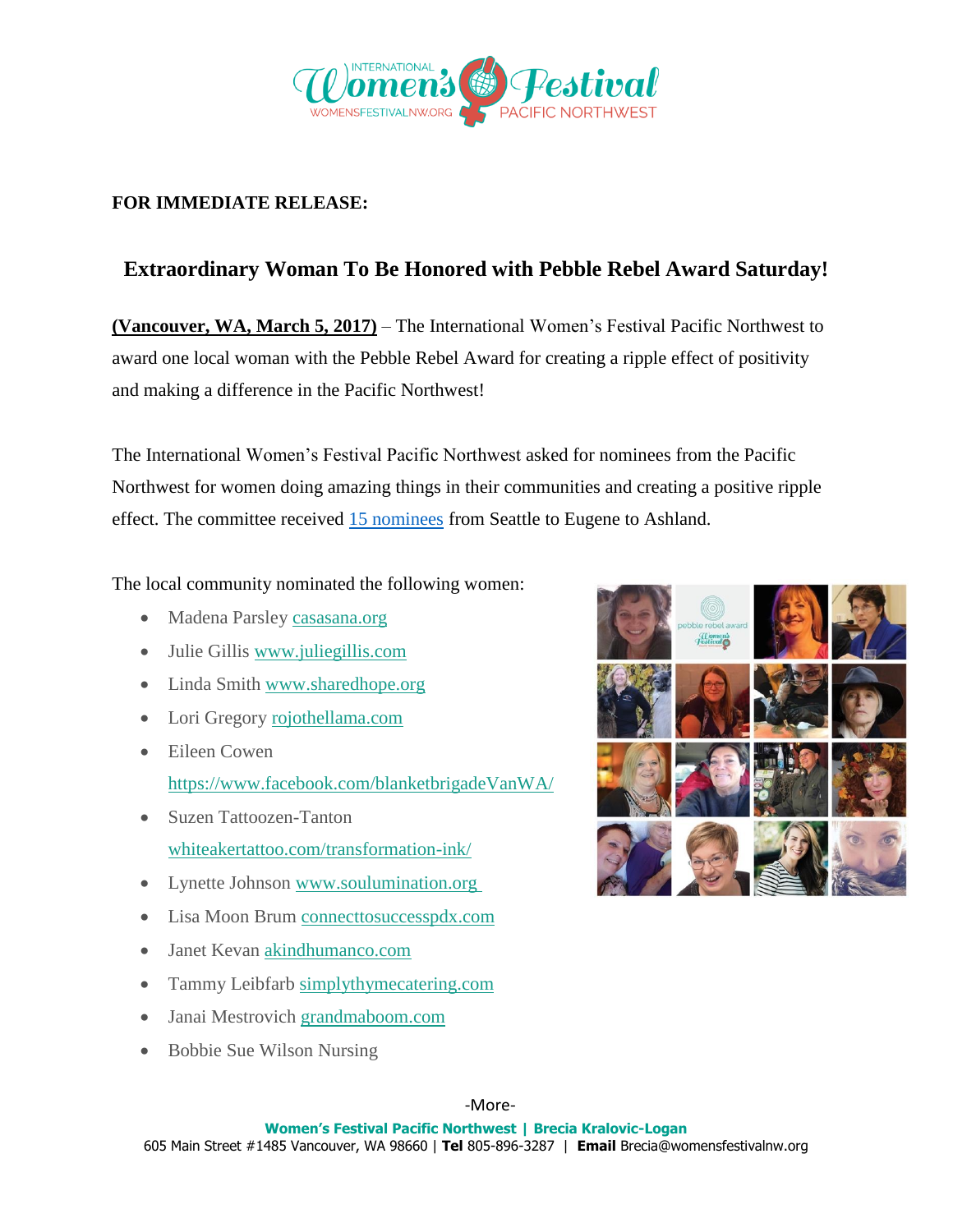

## **FOR IMMEDIATE RELEASE:**

## **Extraordinary Woman To Be Honored with Pebble Rebel Award Saturday!**

**(Vancouver, WA, March 5, 2017)** – The International Women's Festival Pacific Northwest to award one local woman with the Pebble Rebel Award for creating a ripple effect of positivity and making a difference in the Pacific Northwest!

The International Women's Festival Pacific Northwest asked for nominees from the Pacific Northwest for women doing amazing things in their communities and creating a positive ripple effect. The committee received [15 nominees](http://womensfestivalnw.org/our-pebble-rebel-nominees/) from Seattle to Eugene to Ashland.

The local community nominated the following women:

- Madena Parsley [casasana.org](http://casasana.org/)
- Julie Gillis [www.juliegillis.com](http://www.juliegillis.com/)
- Linda Smith [www.sharedhope.org](http://www.sharedhope.org/)
- Lori Gregory [rojothellama.com](http://rojothellama.com/)
- Eileen Cowen <https://www.facebook.com/blanketbrigadeVanWA/>
- Suzen Tattoozen-Tanton [whiteakertattoo.com/transformation-ink/](https://whiteakertattoo.com/transformation-ink/)
- Lynette Johnson [www.soulumination.org](http://www.soulumination.org/)
- Lisa Moon Brum [connecttosuccesspdx.com](http://connecttosuccesspdx.com/posts/author/lisambrum/)
- Janet Kevan [akindhumanco.com](http://akindhumanco.com/)
- Tammy Leibfarb [simplythymecatering.com](http://www.simplythymecatering.com/)
- Janai Mestrovich [grandmaboom.com](http://grandmaboom.com/)
- Bobbie Sue Wilson Nursing



-More-